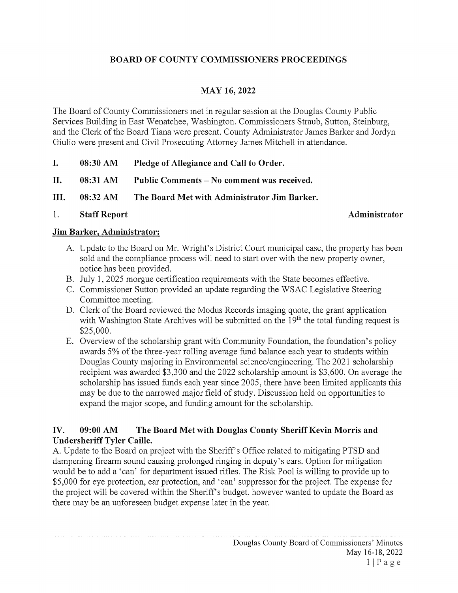## BOARD OF COUNTY COMMISSIONERS PROCEEDINGS

## MAY 16, 2022

The Board of County Commissioners met in regular session at the Douglas County Public Services Building in East Wenatchee, Washington. Commissioners Straub, Sutton, Steinburg, and the Clerk of the Board Tiana were present. County Administrator James Barker and Jordyn Giulio were present and Civil Prosecuting Attorney James Mitchell in attendance.

| I. | 08:30 AM | Pledge of Allegiance and Call to Order. |
|----|----------|-----------------------------------------|
|    |          |                                         |

II. 08:31 AM Public Comments – No comment was received.

III. 08:32 AM The Board Met with Administrator Jim Barker.

1. Staff Report Administrator

### Jim Barker, Administrator:

- A. Update to the Board on Mr. Wright's District Court municipal case, the property has been sold and the compliance process will need to start over with the new property owner, notice has been provided.
- B. July 1, 2025 morgue certification requirements with the State becomes effective.
- C. Commissioner Sutton provided an update regarding the WSAC Legislative Steering Committee meeting.
- D. Clerk of the Board reviewed the Modus Records imaging quote, the grant application with Washington State Archives will be submitted on the  $19<sup>th</sup>$  the total funding request is \$25,000.
- E. Overview of the scholarship grant with Community Foundation, the foundation's policy awards 5% of the three-year rolling average fund balance each year to students within Douglas County majoring in Environmental science/engineering. The 2021 scholarship recipient was awarded \$3,300 and the 2022 scholarship amount is \$3,600. On average the scholarship has issued funds each year since 2005, there have been limited applicants this may be due to the narrowed major field of study. Discussion held on opportunities to expand the major scope, and funding amount for the scholarship.

## IV. 09:00 AM The Board Met with Douglas County Sheriff Kevin Morris and Undersheriff Tyler Caille.

A. Update to the Board on project with the Sheriff's Office related to mitigating PTSD and dampening firearm sound causing prolonged ringing in deputy's ears. Option for mitigation would be to add a 'can' for department issued rifles. The Risk Pool is willing to provide up to \$5,000 for eye protection, ear protection, and 'can' suppressor for the project. The expense for the project will be covered within the Sheriff's budget, however wanted to update the Board as there may be an unforeseen budget expense later in the year.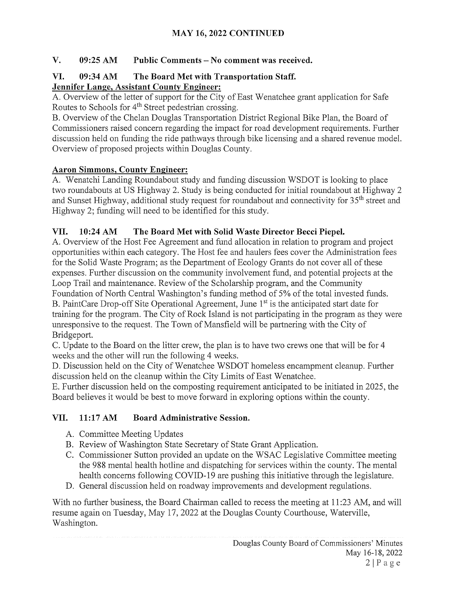# MAY 16, 2022 CONTINUED

## V. 09:25 AM Public Comments — No comment was received.

## VI. 09:34 AM The Board Met with Transportation Staff. Jennifer Lange, Assistant County Engineer:

A. Overview of the letter of support for the City of East Wenatchee grant application for Safe Routes to Schools for 4<sup>th</sup> Street pedestrian crossing.

B. Overview of the Chelan Douglas Transportation District Regional Bike Plan, the Board of Commissioners raised concern regarding the impact for road development requirements. Further discussion held on funding the ride pathways through bike licensing and a shared revenue model. Overview of proposed projects within Douglas County.

## Aaron Simmons, County Engineer:

A. Wenatchi Landing Roundabout study and funding discussion WSDOT is looking to place two roundabouts at US Highway 2. Study is being conducted for initial roundabout at Highway 2 and Sunset Highway, additional study request for roundabout and connectivity for 35<sup>th</sup> street and Highway 2; funding will need to be identified for this study.

## VII. 10:24 AM The Board Met with Solid Waste Director Becci Piepel.

A. Overview of the Host Fee Agreement and fund allocation in relation to program and project opportunities within each category. The Host fee and haulers fees cover the Administration fees for the Solid Waste Program; as the Department of Ecology Grants do not cover all of these expenses. Further discussion on the community involvement fund, and potential projects at the Loop Trail and maintenance. Review of the Scholarship program, and the Community

Foundation of North Central Washington's funding method of 5% of the total invested funds. B. PaintCare Drop-off Site Operational Agreement, June 1<sup>st</sup> is the anticipated start date for training for the program. The City of Rock Island is not participating in the program as they were unresponsive to the request. The Town of Mansfield will be partnering with the City of Bridgeport.

C. Update to the Board on the litter crew, the plan is to have two crews one that will be for 4 weeks and the other will run the following 4 weeks.

D. Discussion held on the City of Wenatchee WSDOT homeless encampment cleanup. Further discussion held on the cleanup within the City Limits of East Wenatchee.

E. Further discussion held on the composting requirement anticipated to be initiated in 2025, the Board believes it would be best to move forward in exploring options within the county.

# VII. 11:17 AM Board Administrative Session.

- A. Committee Meeting Updates
- B. Review of Washington State Secretary of State Grant Application.
- C. Commissioner Sutton provided an update on the WSAC Legislative Committee meeting the 988 mental health hotline and dispatching for services within the county. The mental health concerns following COVID-19 are pushing this initiative through the legislature.
- D. General discussion held on roadway improvements and development regulations.

With no further business, the Board Chairman called to recess the meeting at 11:23 AM, and will resume again on Tuesday, May 17, 2022 at the Douglas County Courthouse, Waterville, Washington.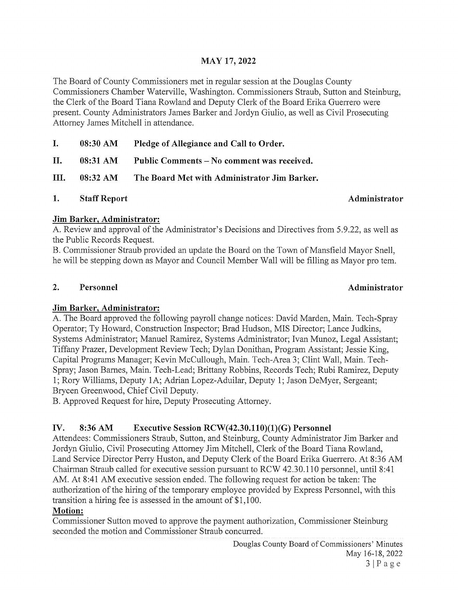## MAY 17, 2022

The Board of County Commissioners met in regular session at the Douglas County Commissioners Chamber Waterville, Washington. Commissioners Straub, Sutton and Steinburg, the Clerk of the Board Tiana Rowland and Deputy Clerk of the Board Erika Guerrero were present. County Administrators James Barker and Jordyn Giulio, as well as Civil Prosecuting Attorney James Mitchell in attendance.

- I. 08:30 AM Pledge of Allegiance and Call to Order.
- II. 08:31 AM Public Comments No comment was received.
- III. 08:32 AM The Board Met with Administrator Jim Barker.
- 1. Staff Report **Administrator** Administrator

### Jim Barker, Administrator:

A. Review and approval of the Administrator's Decisions and Directives from 5.9.22, as well as the Public Records Request.

B. Commissioner Straub provided an update the Board on the Town of Mansfield Mayor Snell, he will be stepping down as Mayor and Council Member Wall will be filling as Mayor pro tem.

### 2. Personnel and a settlement of the Administrator and Administrator

### Jim Barker, Administrator:

A. The Board approved the following payroll change notices: David Marden, Main. Tech-Spray Operator; Ty Howard, Construction Inspector; Brad Hudson, MIS Director; Lance Judkins, Systems Administrator; Manuel Ramirez, Systems Administrator; Ivan Munoz, Legal Assistant; Tiffany Prazer, Development Review Tech; Dylan Donithan, Program Assistant; Jessie King, Capital Programs Manager; Kevin McCullough, Main. Tech-Area 3; Clint Wall, Main. Tech-Spray; Jason Barnes, Main. Tech-Lead; Brittany Robbins, Records Tech; Rubi Ramirez, Deputy 1; Rory Williams, Deputy 1A; Adrian Lopez-Aduilar, Deputy 1; Jason DeMyer, Sergeant; Brycen Greenwood, Chief Civil Deputy.

B. Approved Request for hire, Deputy Prosecuting Attorney.

## IV. 8:36 AM Executive Session RCW(42.30.110)(1)(G) Personnel

Attendees: Commissioners Straub, Sutton, and Steinburg, County Administrator Jim Barker and Jordyn Giulio, Civil Prosecuting Attorney Jim Mitchell, Clerk of the Board Tiana Rowland, Land Service Director Perry Huston, and Deputy Clerk of the Board Erika Guerrero. At 8:36 AM Chairman Straub called for executive session pursuant to RCW 42.30.110 personnel, until 8:41 AM. At 8:41 AM executive session ended. The following request for action be taken: The authorization of the hiring of the temporary employee provided by Express Personnel, with this transition <sup>a</sup> hiring fee is assessed in the amount of \$1,100.

### Motion:

Commissioner Sutton moved to approve the payment authorization, Commissioner Steinburg seconded the motion and Commissioner Straub concurred.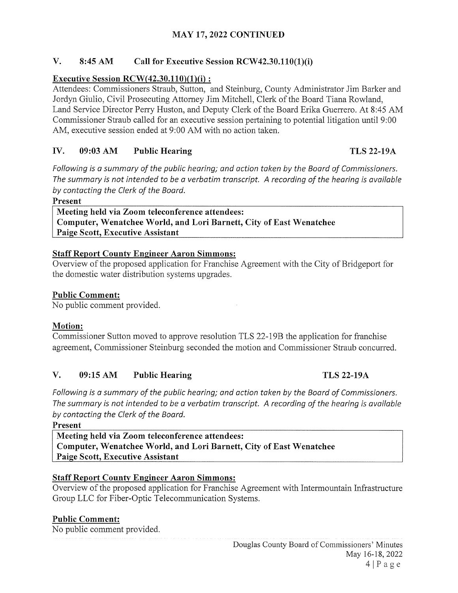## MAY 17, 2022 CONTINUED

## V. 8:45 AM Call for Executive Session RCW42.30.110(1)(i)

## Executive Session RCW $(42.30.110)(1)(i)$ :

Attendees: Commissioners Straub, Sutton, and Steinburg, County Administrator Jim Barker and Jordyn Giulio, Civil Prosecuting Attorney Jim Mitchell, Clerk of the Board Tiana Rowland, Land Service Director Perry Huston, and Deputy Clerk of the Board Erika Guerrero. At 8:45 AM Commissioner Straub called for an executive session pertaining to potential litigation until 9:00 AM, executive session ended at 9:00 AM with no action taken.

## IV. 09:03 AM Public Hearing TLS 22-19A

Following is a summary of the public hearing; and action taken by the Board of Commissioners. The summary is not intended to be a verbatim transcript. A recording of the hearing is available by contacting the Clerk of the Board.

Present

Meeting held via Zoom teleconference attendees: Computer, Wenatchee World, and Lori Barnett, City of East Wenatchee Paige Scott, Executive Assistant

### Staff Report County Engineer Aaron Simmons:

Overview of the proposed application for Franchise Agreement with the City of Bridgeport for the domestic water distribution systems upgrades.

## Public Comment:

No public comment provided.

## Motion:

Commissioner Sutton moved to approve resolution TLS 22-1 9B the application for franchise agreement, Commissioner Steinburg seconded the motion and Commissioner Straub concurred.

## V. 09:15 AM Public Hearing TLS 22-19A

Following is a summary of the public hearing; and action taken by the Board of Commissioners. The summary is not intended to be a verbatim transcript. A recording of the hearing is available by contacting the Clerk of the Board.

Present

Meeting held via Zoom teleconference attendees: Computer, Wenatchee World, and Lori Barnett, City of East Wenatchee Paige Scott, Executive Assistant

### Staff Report County Engineer Aaron Simmons:

Overview of the proposed application for Franchise Agreement with Intermountain Infrastructure Group LLC for Fiber-Optic Telecommunication Systems.

### Public Comment:

No public comment provided.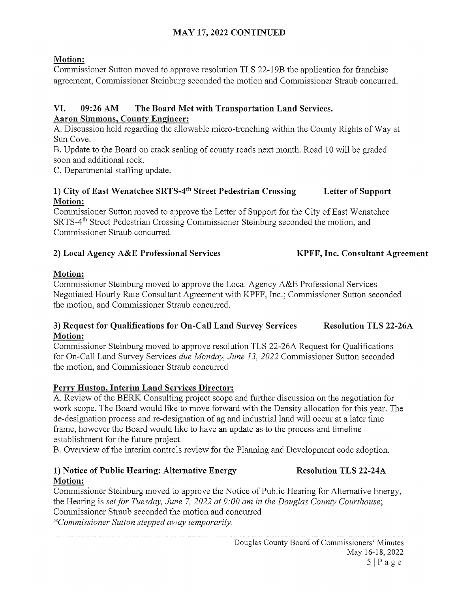## MAY 17, 2022 CONTINUED

## Motion:

Commissioner Sutton moved to approve resolution TLS 22-1 9B the application for franchise agreement, Commissioner Steinburg seconded the motion and Commissioner Straub concurred.

## VI. 09:26 AM The Board Met with Transportation Land Services. Aaron Simmons, County Engineer:

A. Discussion held regarding the allowable micro-trenching within the County Rights of Way at Sun Cove.

B. Update to the Board on crack sealing of county roads next month. Road <sup>10</sup> will be graded soon and additional rock.

C. Departmental staffing update.

## 1) City of East Wenatchee SRTS-4<sup>th</sup> Street Pedestrian Crossing Letter of Support Motion:

Commissioner Sutton moved to approve the Letter of Support for the City of East Wenatchee SRTS~4th Street Pedestrian Crossing Commissioner Steinburg seconded the motion, and Commissioner Straub concurred.

# 2) Local Agency A&E Professional Services KPFF, Inc. Consultant Agreement

## Motion:

Commissioner Steinburg moved to approve the Local Agency A&E Professional Services Negotiated Hourly Rate Consultant Agreement with KPFF, Inc.; Commissioner Sutton seconded the motion, and Commissioner Straub concurred.

### 3) Request for Qualifications for On-Call Land Survey Services Resolution TLS 22-26A Motion:

Commissioner Steinburg moved to approve resolution TLS 22-26A Request for Qualifications for On-Call Land Survey Services due Monday, June 13, 2022 Commissioner Sutton seconded the motion, and Commissioner Straub concurred

## Perry Huston, Interim Land Services Director:

A. Review of the BERK Consulting project scope and further discussion on the negotiation for work scope. The Board would like to move forward with the Density allocation for this year. The de-designation process and re-designation of ag and industrial land will occur at <sup>a</sup> later time frame, however the Board would like to have an update as to the process and timeline establishment for the future project.

B. Overview of the interim controls review for the Planning and Development code adoption.

## 1) Notice of Public Hearing: Alternative Energy Resolution TLS 22-24A Motion:

Commissioner Steinburg moved to approve the Notice of Public Hearing for Alternative Energy, the Hearing is set for Tuesday, June 7, 2022 at  $9:00$  am in the Douglas County Courthouse; Commissioner Straub seconded the motion and concurred \*Commissioner Sutton stepped away temporarily.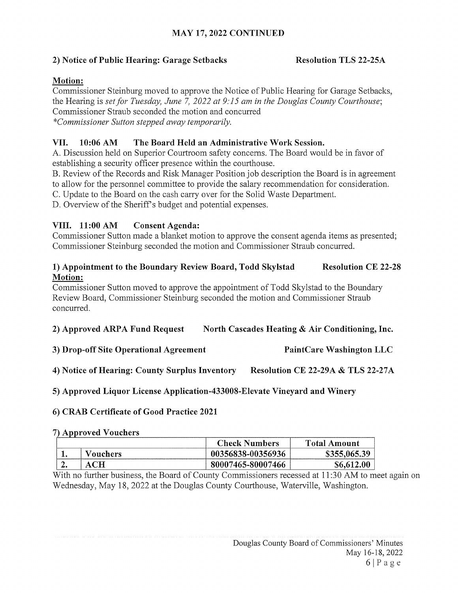## MAY 17, 2022 CONTINUED

## 2) Notice of Public Hearing: Garage Setbacks Resolution TLS 22-25A

### Motion:

Commissioner Steinburg moved to approve the Notice of Public Hearing for Garage Setbacks, the Hearing is set for Tuesday, June 7, 2022 at 9:15 am in the Douglas County Courthouse; Commissioner Straub seconded the motion and concurred \*Commissioner Sutton stepped away temporarily.

### VII. 10:06 AM The Board Held an Administrative Work Session.

A. Discussion held on Superior Courtroom safety concerns. The Board would be in favor of establishing a security officer presence within the courthouse.

B. Review of the Records and Risk Manager Position job description the Board is in agreement to allow for the personnel committee to provide the salary recommendation for consideration.

C. Update to the Board on the cash carry over for the Solid Waste Department.

D. Overview of the Sheriff's budget and potential expenses.

### VIII. 11:00 AM Consent Agenda:

Commissioner Sutton made a blanket motion to approve the consent agenda items as presented; Commissioner Steinburg seconded the motion and Commissioner Straub concurred.

#### 1) Appointment to the Boundary Review Board, Todd Skylstad Resolution CE 22-28 Motion:

Commissioner Sutton moved to approve the appointment of Todd Skylstad to the Boundary Review Board, Commissioner Steinburg seconded the motion and Commissioner Straub concurred.

2) Approved ARPA Fund Request North Cascades Heating  $\&$  Air Conditioning, Inc.

3) Drop-off Site Operational Agreement PaintCare Washington LLC

4) Notice of Hearing: County Surplus Inventory Resolution CE 22-29A & TLS 22-27A

5) Approved Liquor License Application-433008-Elevate Vineyard and Winery

### 6) CRAB Certificate of Good Practice 2021

#### 7) Approved Vouchers

|     |          | <b>Check Numbers</b> | <b>Total Amount</b> |
|-----|----------|----------------------|---------------------|
|     | Vouchers | 00356838-00356936    | \$355,065.39        |
| ، ، |          | 80007465-80007466    | \$6.612.00          |

With no further business, the Board of County Commissioners recessed at 11:30 AM to meet again on Wednesday, May 18, 2022 at the Douglas County Courthouse, Waterville, Washington.